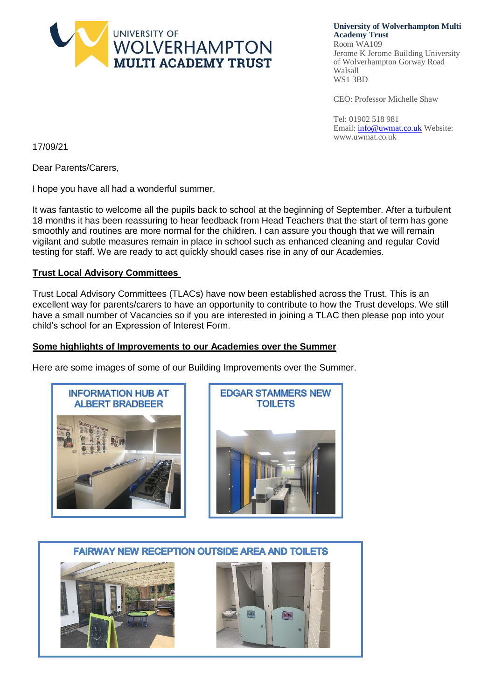

**University of Wolverhampton Multi Academy Trust**

Room WA109 Jerome K Jerome Building University of Wolverhampton Gorway Road Walsall WS1 3BD

CEO: Professor Michelle Shaw

Tel: 01902 518 981 Email: [info@uwmat.co.uk](mailto:info@uwmat.co.uk) Website: [www.uwmat.co.uk](http://www.uwmat.co.uk/)

17/09/21

Dear Parents/Carers,

I hope you have all had a wonderful summer.

It was fantastic to welcome all the pupils back to school at the beginning of September. After a turbulent 18 months it has been reassuring to hear feedback from Head Teachers that the start of term has gone smoothly and routines are more normal for the children. I can assure you though that we will remain vigilant and subtle measures remain in place in school such as enhanced cleaning and regular Covid testing for staff. We are ready to act quickly should cases rise in any of our Academies.

## **Trust Local Advisory Committees**

Trust Local Advisory Committees (TLACs) have now been established across the Trust. This is an excellent way for parents/carers to have an opportunity to contribute to how the Trust develops. We still have a small number of Vacancies so if you are interested in joining a TLAC then please pop into your child's school for an Expression of Interest Form.

## **Some highlights of Improvements to our Academies over the Summer**

Here are some images of some of our Building Improvements over the Summer.